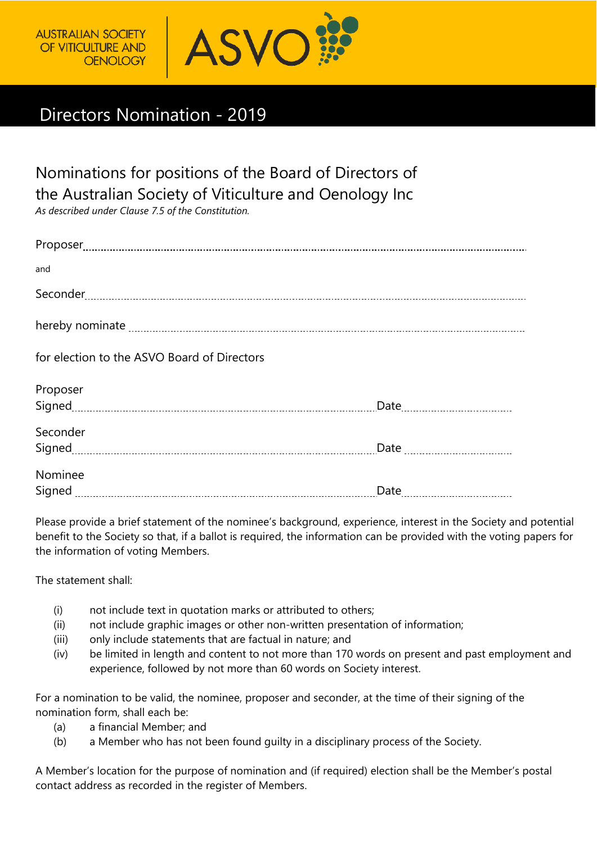

## Directors Nomination - 2019

Nominations for positions of the Board of Directors of the Australian Society of Viticulture and Oenology Inc

*As described under Clause 7.5 of the Constitution.*

| and                                         |  |
|---------------------------------------------|--|
|                                             |  |
|                                             |  |
| for election to the ASVO Board of Directors |  |
| Proposer                                    |  |
|                                             |  |
| Seconder                                    |  |
|                                             |  |
| Nominee                                     |  |
|                                             |  |

Please provide a brief statement of the nominee's background, experience, interest in the Society and potential benefit to the Society so that, if a ballot is required, the information can be provided with the voting papers for the information of voting Members.

The statement shall:

- (i) not include text in quotation marks or attributed to others;
- (ii) not include graphic images or other non-written presentation of information;
- (iii) only include statements that are factual in nature; and
- (iv) be limited in length and content to not more than 170 words on present and past employment and experience, followed by not more than 60 words on Society interest.

For a nomination to be valid, the nominee, proposer and seconder, at the time of their signing of the nomination form, shall each be:

- (a) a financial Member; and
- (b) a Member who has not been found guilty in a disciplinary process of the Society.

A Member's location for the purpose of nomination and (if required) election shall be the Member's postal contact address as recorded in the register of Members.